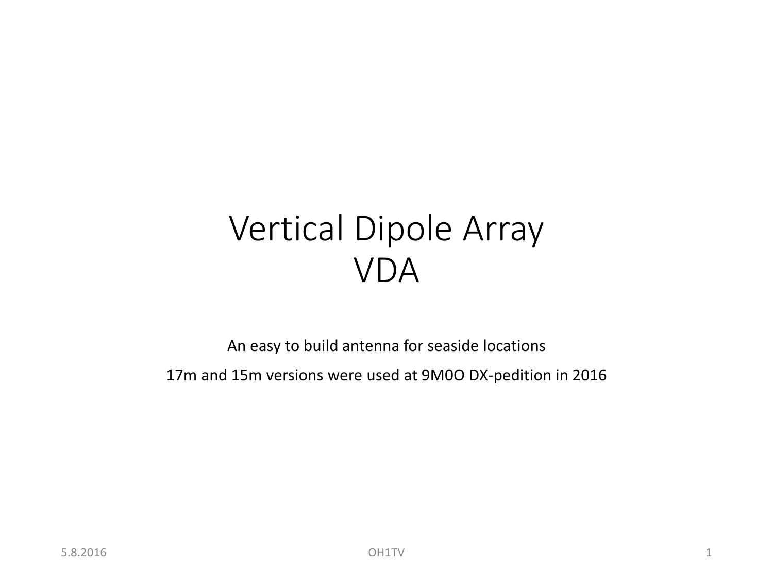## Vertical Dipole Array VDA

An easy to build antenna for seaside locations 17m and 15m versions were used at 9M0O DX-pedition in 2016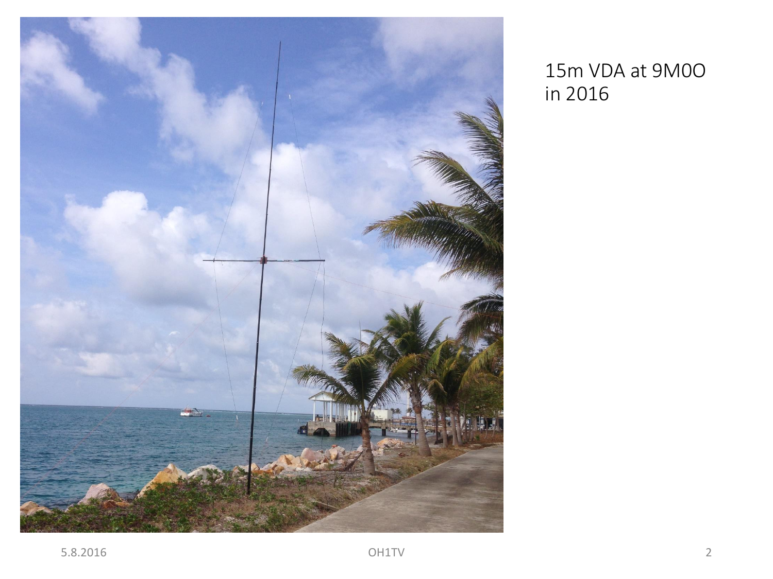

#### 15m VDA at 9M0O in 2016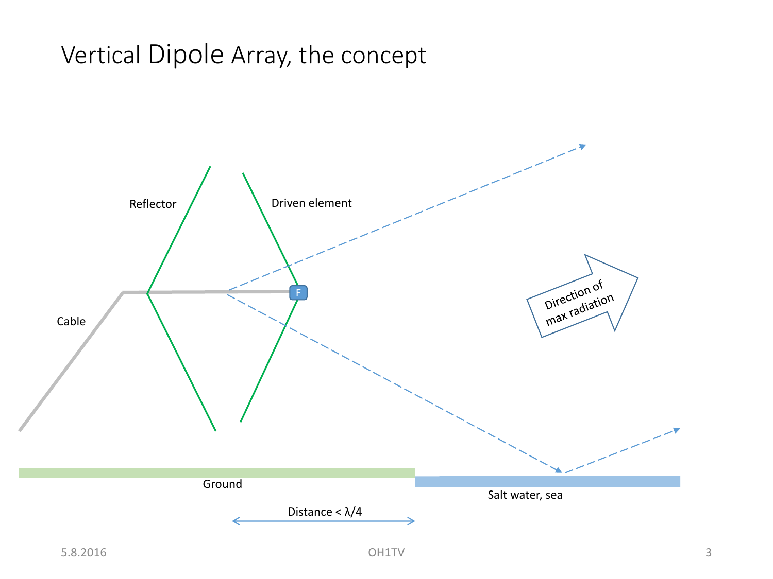#### Vertical Dipole Array, the concept

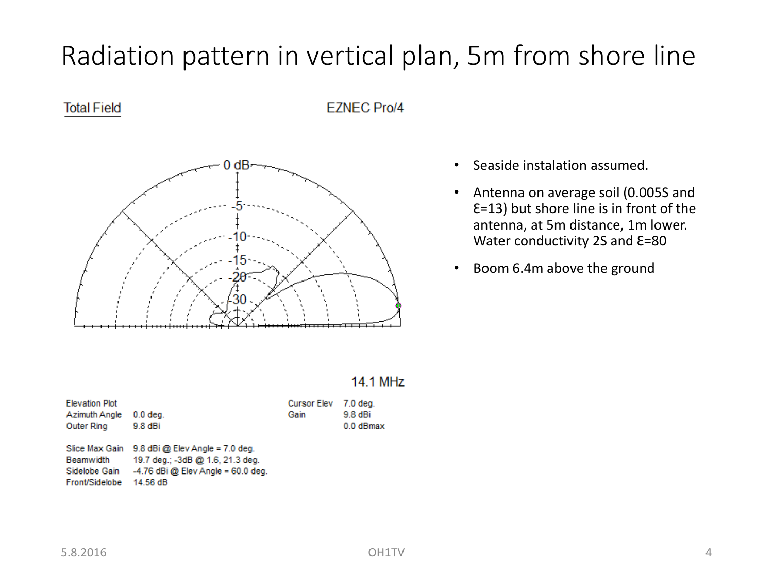### Radiation pattern in vertical plan, 5m from shore line

#### **Total Field**

**EZNEC Pro/4** 



- Seaside instalation assumed.
- Antenna on average soil (0.005S and  $E=13$ ) but shore line is in front of the antenna, at 5m distance, 1m lower. Water conductivity 2S and  $E=80$
- Boom 6.4m above the ground

| 14.1 MHz |  |  |  |
|----------|--|--|--|
|          |  |  |  |

| <b>Elevation Plot</b><br>Azimuth Angle<br>Outer Ring | $0.0$ deg.<br>9.8 dBi                                                                                                                  | Cursor Elev 7.0 deg.<br>Gain | $9.8$ dBi<br>$0.0$ dBmax |
|------------------------------------------------------|----------------------------------------------------------------------------------------------------------------------------------------|------------------------------|--------------------------|
| Beamwidth<br>Sidelobe Gain<br>Front/Sidelobe         | Slice Max Gain 9.8 dBi @ Elev Angle = 7.0 deg.<br>19.7 deg.; -3dB @ 1.6, 21.3 deg.<br>$-4.76$ dBi @ Elev Angle = 60.0 deg.<br>14.56 dB |                              |                          |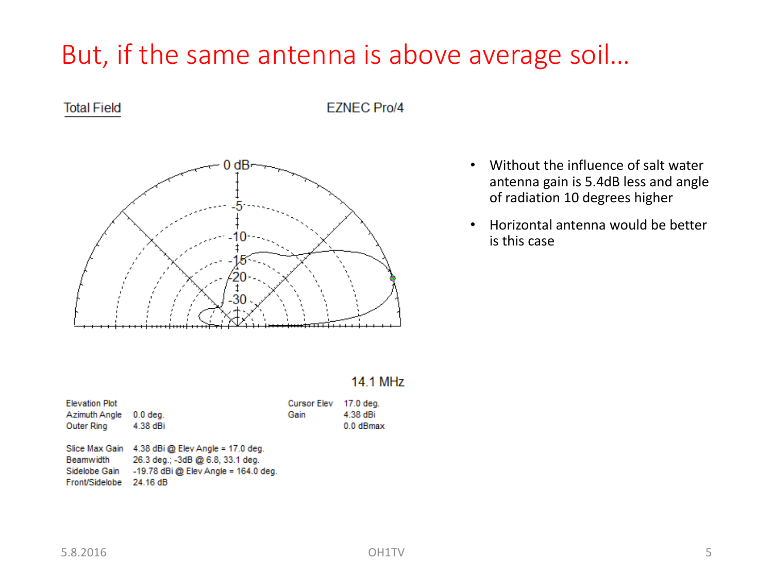### But, if the same antenna is above average soil…

#### **Total Field**

**EZNEC Pro/4** 



- Without the influence of salt water antenna gain is 5.4dB less and angle of radiation 10 degrees higher
- Horizontal antenna would be better is this case

#### 14.1 MHz

| <b>Elevation Plot</b> |                                                  | <b>Cursor Elev</b> | 17.0 deg. |
|-----------------------|--------------------------------------------------|--------------------|-----------|
| Azimuth Angle         | $0.0$ deg.                                       | Gain               | 4.38 dBi  |
| Outer Ring            | 4.38 dBi                                         |                    | 0.0 dBmax |
|                       |                                                  |                    |           |
|                       | Slice Max Gain 4.38 dBi @ Elev Angle = 17.0 deg. |                    |           |
| Beamwidth             | 26.3 deg.; -3dB @ 6.8, 33.1 deg.                 |                    |           |
| Sidelobe Gain         | $-19.78$ dBi @ Elev Angle = 164.0 deg.           |                    |           |
| Front/Sidelobe        | 24.16 dB                                         |                    |           |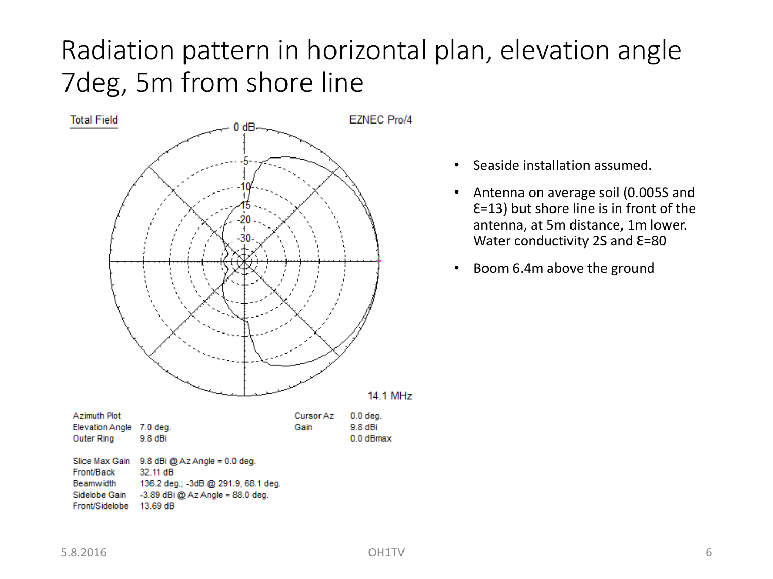### Radiation pattern in horizontal plan, elevation angle 7deg, 5m from shore line



- Seaside installation assumed.
- Antenna on average soil (0.005S and  $E=13$ ) but shore line is in front of the antenna, at 5m distance, 1m lower. Water conductivity 2S and  $E=80$
- Boom 6.4m above the ground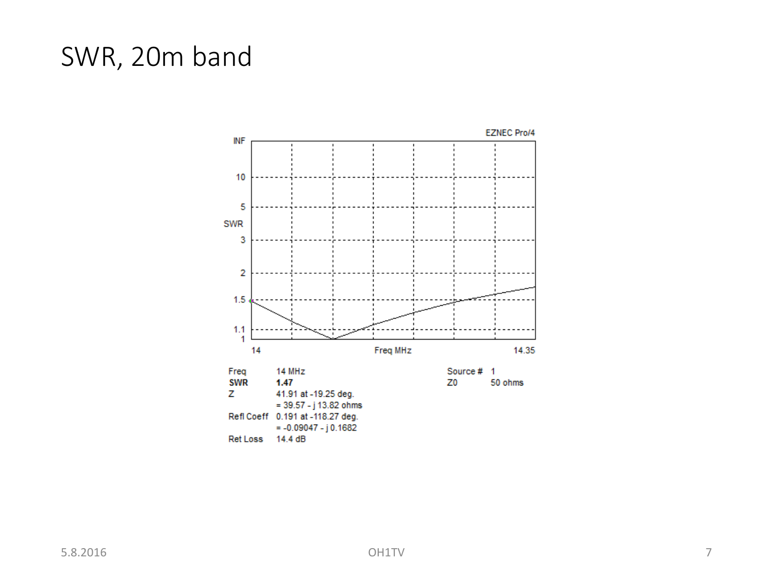### SWR, 20m band

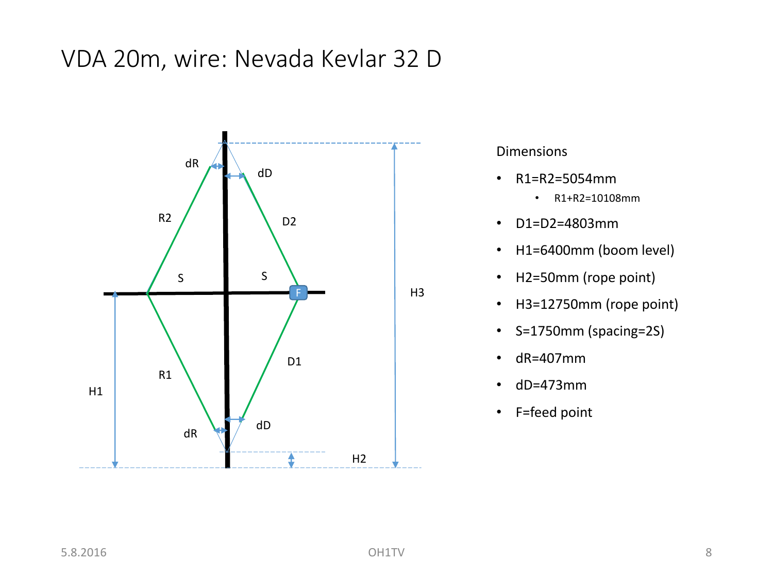#### VDA 20m, wire: Nevada Kevlar 32 D



- R1=R2=5054mm
	- R1+R2=10108mm
- D1=D2=4803mm
- H1=6400mm (boom level)
- H2=50mm (rope point)
- H3=12750mm (rope point)
- S=1750mm (spacing=2S)
- dR=407mm
- dD=473mm
- F=feed point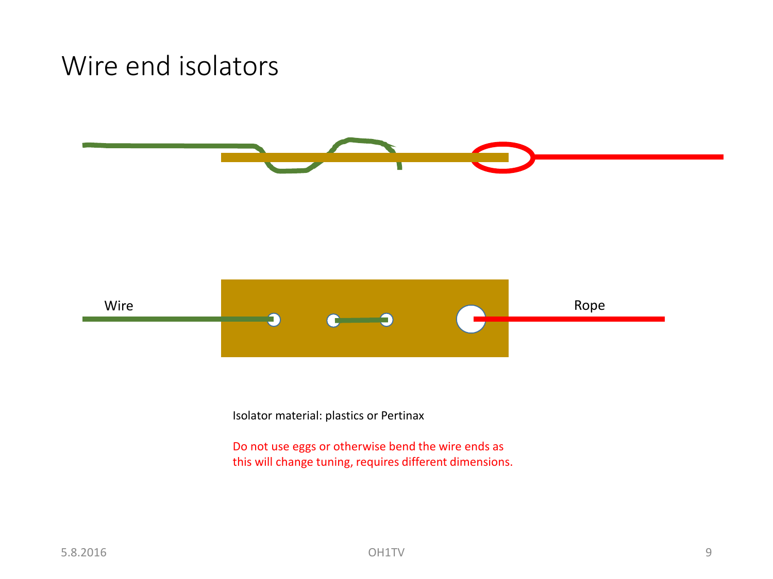#### Wire end isolators





Isolator material: plastics or Pertinax

Do not use eggs or otherwise bend the wire ends as this will change tuning, requires different dimensions.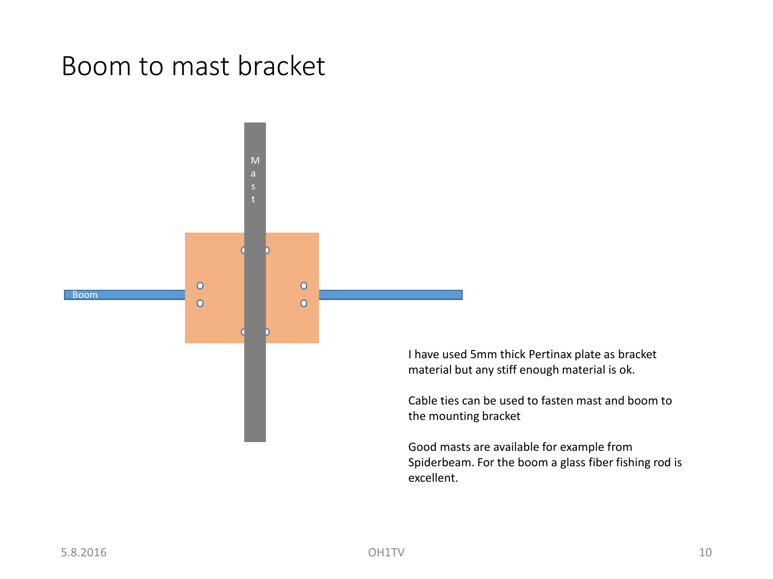#### Boom to mast bracket



I have used 5mm thick Pertinax plate as bracket material but any stiff enough material is ok.

Cable ties can be used to fasten mast and boom to the mounting bracket

Good masts are available for example from Spiderbeam. For the boom a glass fiber fishing rod is excellent.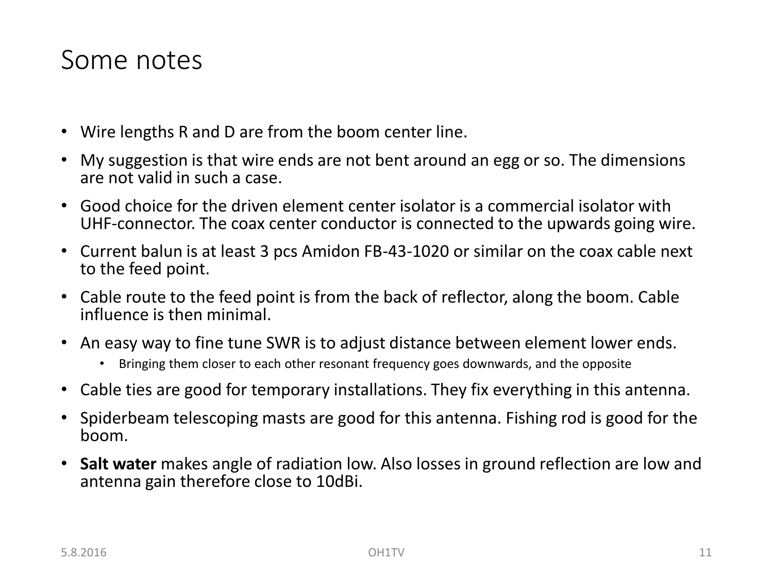#### Some notes

- Wire lengths R and D are from the boom center line.
- My suggestion is that wire ends are not bent around an egg or so. The dimensions are not valid in such a case.
- Good choice for the driven element center isolator is a commercial isolator with UHF-connector. The coax center conductor is connected to the upwards going wire.
- Current balun is at least 3 pcs Amidon FB-43-1020 or similar on the coax cable next to the feed point.
- Cable route to the feed point is from the back of reflector, along the boom. Cable influence is then minimal.
- An easy way to fine tune SWR is to adjust distance between element lower ends.
	- Bringing them closer to each other resonant frequency goes downwards, and the opposite
- Cable ties are good for temporary installations. They fix everything in this antenna.
- Spiderbeam telescoping masts are good for this antenna. Fishing rod is good for the boom.
- **Salt water** makes angle of radiation low. Also losses in ground reflection are low and antenna gain therefore close to 10dBi.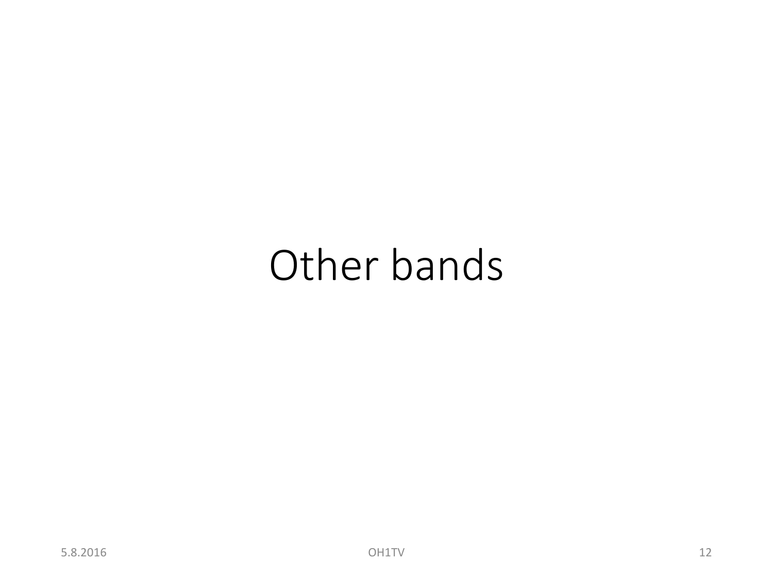# Other bands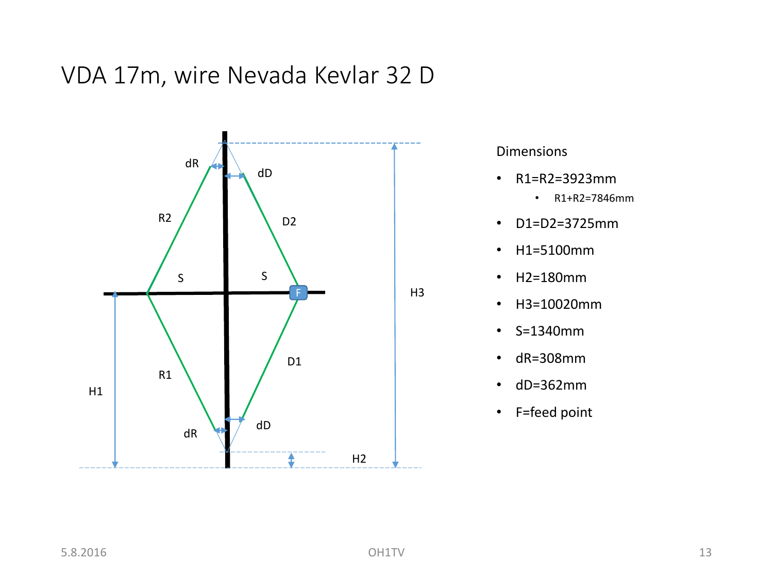VDA 17m, wire Nevada Kevlar 32 D



- R1=R2=3923mm
	- R1+R2=7846mm
- D1=D2=3725mm
- H1=5100mm
- H2=180mm
- H3=10020mm
- S=1340mm
- dR=308mm
- dD=362mm
- F=feed point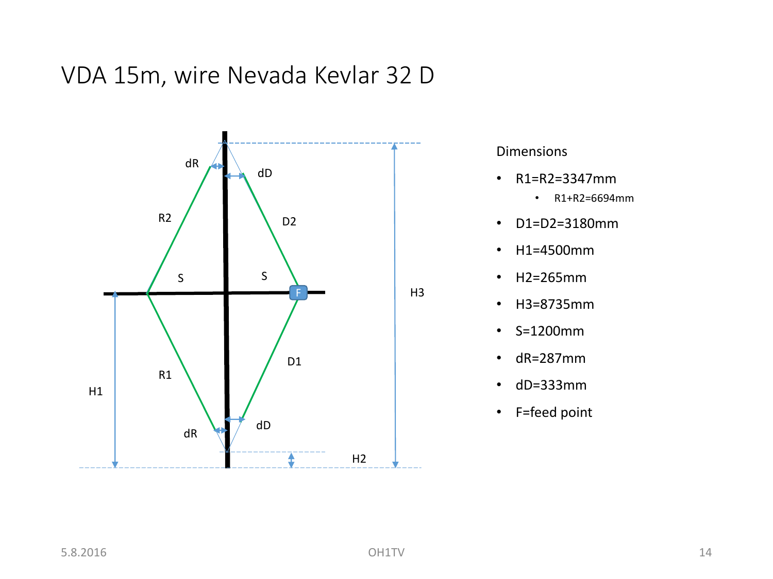VDA 15m, wire Nevada Kevlar 32 D



- R1=R2=3347mm
	- R1+R2=6694mm
- D1=D2=3180mm
- H1=4500mm
- H2=265mm
- H3=8735mm
- S=1200mm
- dR=287mm
- dD=333mm
- F=feed point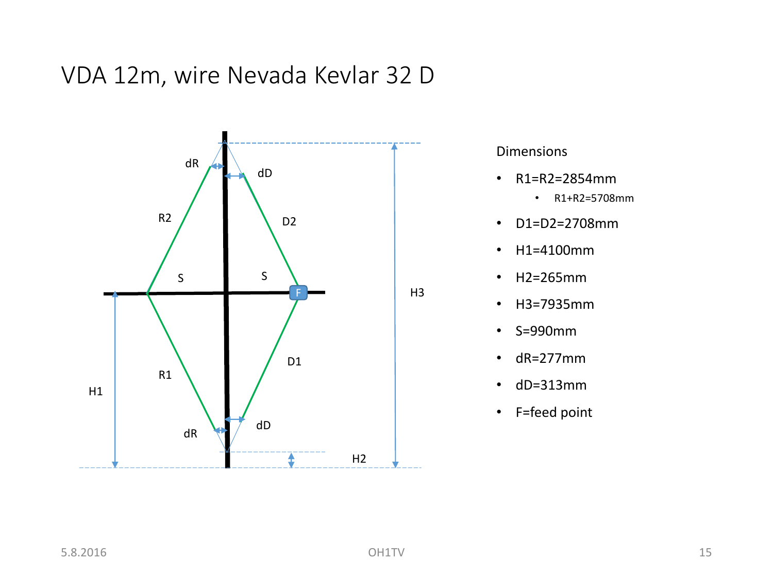VDA 12m, wire Nevada Kevlar 32 D



- R1=R2=2854mm
	- R1+R2=5708mm
- D1=D2=2708mm
- H1=4100mm
- H2=265mm
- H3=7935mm
- S=990mm
- dR=277mm
- dD=313mm
- F=feed point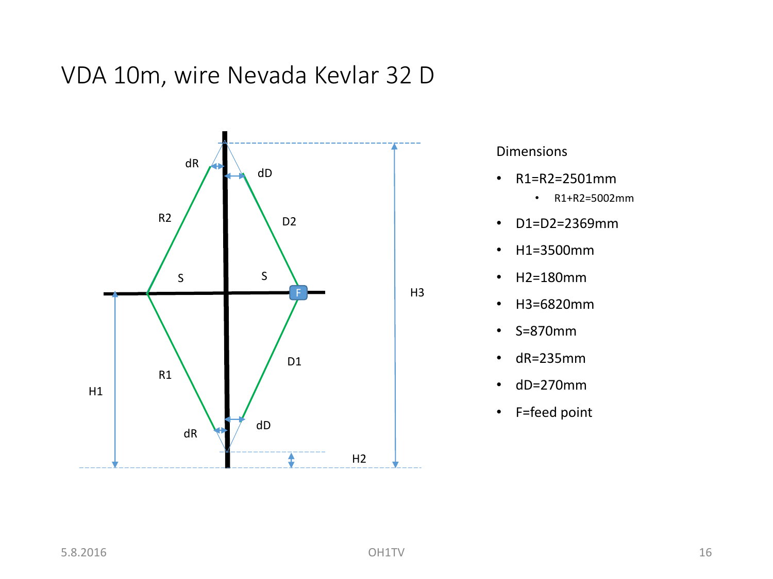VDA 10m, wire Nevada Kevlar 32 D



- R1=R2=2501mm
	- R1+R2=5002mm
- D1=D2=2369mm
- H1=3500mm
- H2=180mm
- H3=6820mm
- S=870mm
- dR=235mm
- dD=270mm
- F=feed point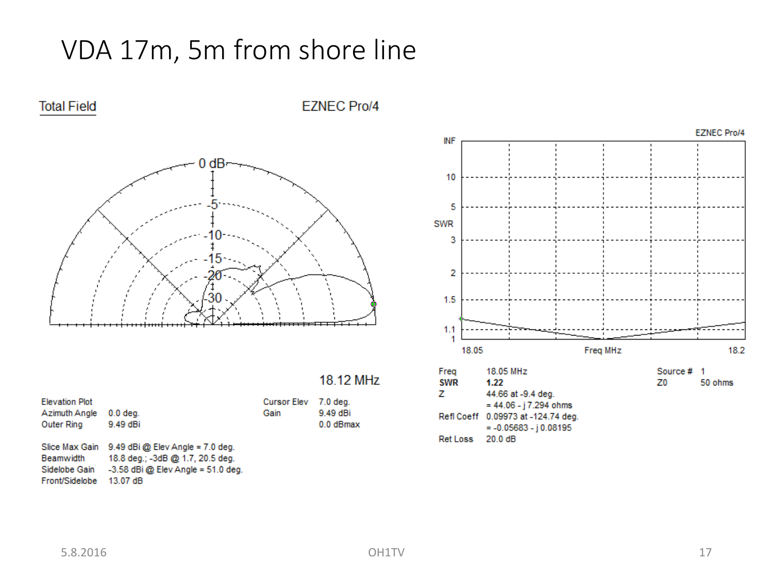### VDA 17m, 5m from shore line



**Total Field** 

#### **EZNEC Pro/4**

|  | 18.12 MHz |  |
|--|-----------|--|
|  |           |  |

0.0 dBmax

| <b>Elevation Plot</b><br>Azimuth Angle | $0.0$ deg.                           | <b>Cursor Elev</b><br>Gain | 7.0 dea.<br>9.49 dBi |
|----------------------------------------|--------------------------------------|----------------------------|----------------------|
| <b>Outer Ring</b>                      | 9.49 dBi                             |                            | $0.0$ dBm            |
| Slice Max Gain                         | $9.49$ dBi @ Elev Angle = 7.0 deg.   |                            |                      |
| Beamwidth                              | 18.8 deg.; -3dB @ 1.7, 20.5 deg.     |                            |                      |
| Sidelobe Gain                          | $-3.58$ dBi @ Elev Angle = 51.0 deg. |                            |                      |
| Front/Sidelobe                         | 13.07 dB                             |                            |                      |



 $= 44.06 - j 7.294 ohms$ Refl Coeff 0.09973 at -124.74 deg.  $= -0.05683 - j 0.08195$ Ret Loss 20.0 dB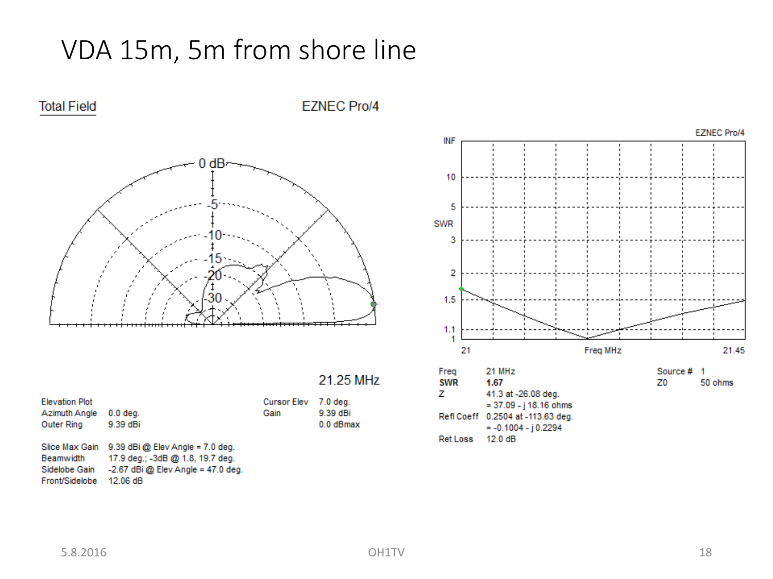### VDA 15m, 5m from shore line



**Total Field** 

#### **EZNEC Pro/4**

0.0 dBmax

| <b>Elevation Plot</b> |                                      | <b>Cursor Elev</b> | 7.0 dea.  |
|-----------------------|--------------------------------------|--------------------|-----------|
| Azimuth Angle         | $0.0$ deg.                           | Gain               | 9.39 dBi  |
| Outer Ring            | 9.39 dBi                             |                    | $0.0$ dBm |
|                       |                                      |                    |           |
| Slice Max Gain        | 9.39 dBi @ Elev Angle = 7.0 deg.     |                    |           |
| Beamwidth             | 17.9 deg.; -3dB @ 1.8, 19.7 deg.     |                    |           |
| Sidelobe Gain         | $-2.67$ dBi @ Elev Angle = 47.0 deg. |                    |           |
| Front/Sidelobe        | 12.06 dB                             |                    |           |



Ret Loss 12.0 dB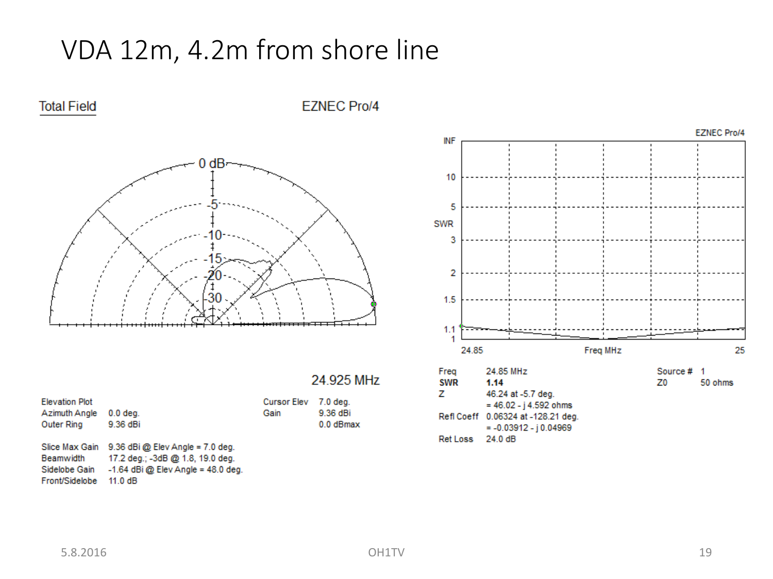### VDA 12m, 4.2m from shore line



**EZNEC Pro/4** 



| <b>Elevation Plot</b><br>Azimuth Angle<br>Outer Ring           | $0.0$ deg.<br>9.36 dBi                                                                                                    | <b>Cursor Elev</b><br>Gain | 7.0 deg.<br>9.36 dBi<br>0.0 dBmax |
|----------------------------------------------------------------|---------------------------------------------------------------------------------------------------------------------------|----------------------------|-----------------------------------|
| Slice Max Gain<br>Beamwidth<br>Sidelobe Gain<br>Front/Sidelobe | $9.36$ dBi @ Elev Angle = 7.0 deg.<br>17.2 deg.; -3dB @ 1.8, 19.0 deg.<br>$-1.64$ dBi @ Elev Angle = 48.0 deg.<br>11.0 dB |                            |                                   |